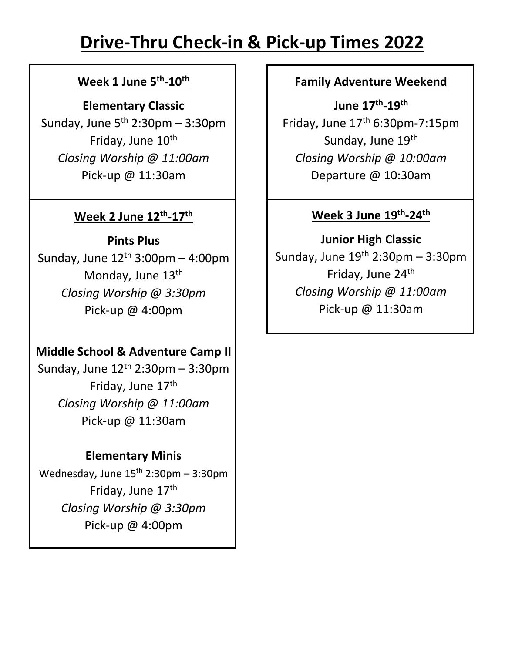# **Drive-Thru Check-in & Pick-up Times 2022**

## **Week 1 June 5th-10th**

#### **Elementary Classic**

Sunday, June  $5<sup>th</sup>$  2:30pm – 3:30pm Friday, June 10<sup>th</sup> *Closing Worship @ 11:00am* Pick-up @ 11:30am

## **Week 2 June 12th-17th**

## **Pints Plus**

Sunday, June  $12<sup>th</sup> 3:00<sup>pm</sup> - 4:00<sup>pm</sup>$ Monday, June 13<sup>th</sup> *Closing Worship @ 3:30pm* Pick-up @ 4:00pm

# **Middle School & Adventure Camp II**

Sunday, June  $12<sup>th</sup> 2:30<sup>pm</sup> - 3:30<sup>pm</sup>$ Friday, June 17<sup>th</sup> *Closing Worship @ 11:00am* Pick-up @ 11:30am

# **Elementary Minis**

Wednesday, June  $15^{th}$  2:30pm – 3:30pm Friday, June 17th *Closing Worship @ 3:30pm* Pick-up @ 4:00pm

## **Family Adventure Weekend**

**June 17th-19th** Friday, June  $17<sup>th</sup>$  6:30pm-7:15pm Sunday, June 19th *Closing Worship @ 10:00am* Departure @ 10:30am

## **Week 3 June 19th-24th**

**Junior High Classic** Sunday, June  $19<sup>th</sup> 2:30<sup>pm</sup> - 3:30<sup>pm</sup>$ Friday, June 24th *Closing Worship @ 11:00am* Pick-up @ 11:30am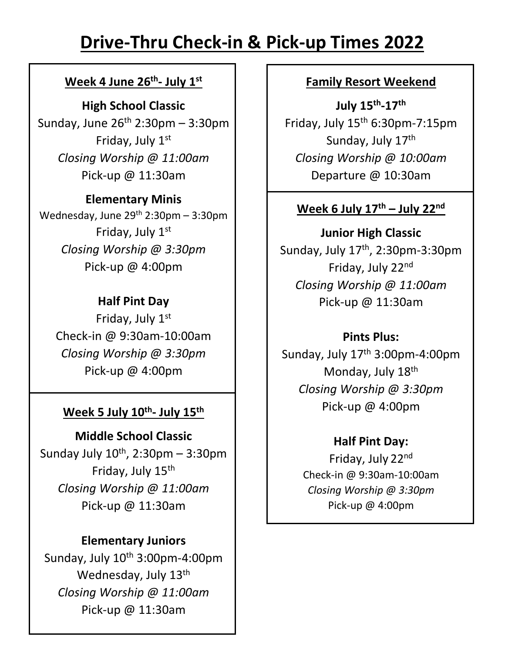# **Drive-Thru Check-in & Pick-up Times 2022**

#### **Week 4 June 26th- July 1st**

**High School Classic**

Sunday, June  $26<sup>th</sup> 2:30<sup>pm</sup> - 3:30<sup>pm</sup>$ Friday, July 1st *Closing Worship @ 11:00am* Pick-up @ 11:30am

### **Elementary Minis**

Wednesday, June  $29^{th}$  2:30pm - 3:30pm Friday, July 1st *Closing Worship @ 3:30pm* Pick-up @ 4:00pm

#### **Half Pint Day**

Friday, July 1st Check-in @ 9:30am-10:00am *Closing Worship @ 3:30pm* Pick-up @ 4:00pm

#### **Week 5 July 10th- July 15th**

#### **Middle School Classic**

Sunday July  $10^{th}$ , 2:30pm – 3:30pm Friday, July 15<sup>th</sup> *Closing Worship @ 11:00am* Pick-up @ 11:30am

#### **Elementary Juniors**

Sunday, July 10<sup>th</sup> 3:00pm-4:00pm Wednesday, July 13<sup>th</sup> *Closing Worship @ 11:00am* Pick-up @ 11:30am

#### **Family Resort Weekend**

**July 15th-17th** Friday, July 15<sup>th</sup> 6:30pm-7:15pm Sunday, July 17<sup>th</sup> *Closing Worship @ 10:00am* Departure @ 10:30am

#### **Week 6 July 17th – July 22nd**

**Junior High Classic** Sunday, July 17th, 2:30pm-3:30pm Friday, July 22nd *Closing Worship @ 11:00am* Pick-up @ 11:30am

#### **Pints Plus:**

Sunday, July  $17<sup>th</sup> 3:00$ pm-4:00pm Monday, July 18th *Closing Worship @ 3:30pm* Pick-up @ 4:00pm

> **Half Pint Day:**  Friday, July 22nd Check-in @ 9:30am-10:00am *Closing Worship @ 3:30pm* Pick-up @ 4:00pm